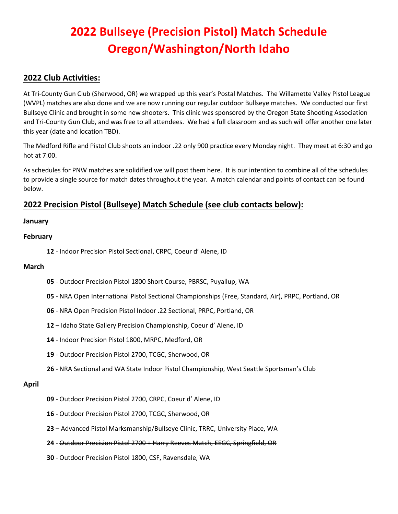# **2022 Bullseye (Precision Pistol) Match Schedule Oregon/Washington/North Idaho**

# **2022 Club Activities:**

At Tri-County Gun Club (Sherwood, OR) we wrapped up this year's Postal Matches. The Willamette Valley Pistol League (WVPL) matches are also done and we are now running our regular outdoor Bullseye matches. We conducted our first Bullseye Clinic and brought in some new shooters. This clinic was sponsored by the Oregon State Shooting Association and Tri-County Gun Club, and was free to all attendees. We had a full classroom and as such will offer another one later this year (date and location TBD).

The Medford Rifle and Pistol Club shoots an indoor .22 only 900 practice every Monday night. They meet at 6:30 and go hot at 7:00.

As schedules for PNW matches are solidified we will post them here. It is our intention to combine all of the schedules to provide a single source for match dates throughout the year. A match calendar and points of contact can be found below.

# **2022 Precision Pistol (Bullseye) Match Schedule (see club contacts below):**

# **January**

## **February**

**12** - Indoor Precision Pistol Sectional, CRPC, Coeur d' Alene, ID

#### **March**

- **05** Outdoor Precision Pistol 1800 Short Course, PBRSC, Puyallup, WA
- **05** NRA Open International Pistol Sectional Championships (Free, Standard, Air), PRPC, Portland, OR
- **06** NRA Open Precision Pistol Indoor .22 Sectional, PRPC, Portland, OR
- **12** Idaho State Gallery Precision Championship, Coeur d' Alene, ID
- **14** Indoor Precision Pistol 1800, MRPC, Medford, OR
- **19** Outdoor Precision Pistol 2700, TCGC, Sherwood, OR
- **26** NRA Sectional and WA State Indoor Pistol Championship, West Seattle Sportsman's Club

#### **April**

- **09** Outdoor Precision Pistol 2700, CRPC, Coeur d' Alene, ID
- **16** Outdoor Precision Pistol 2700, TCGC, Sherwood, OR
- **23** Advanced Pistol Marksmanship/Bullseye Clinic, TRRC, University Place, WA
- **24** Outdoor Precision Pistol 2700 + Harry Reeves Match, EEGC, Springfield, OR
- **30** Outdoor Precision Pistol 1800, CSF, Ravensdale, WA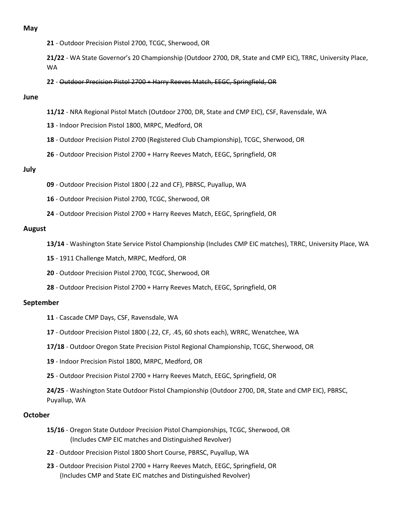#### **May**

**21** - Outdoor Precision Pistol 2700, TCGC, Sherwood, OR

**21/22** - WA State Governor's 20 Championship (Outdoor 2700, DR, State and CMP EIC), TRRC, University Place, WA

**22** - Outdoor Precision Pistol 2700 + Harry Reeves Match, EEGC, Springfield, OR

#### **June**

- **11/12** NRA Regional Pistol Match (Outdoor 2700, DR, State and CMP EIC), CSF, Ravensdale, WA
- **13** Indoor Precision Pistol 1800, MRPC, Medford, OR
- **18** Outdoor Precision Pistol 2700 (Registered Club Championship), TCGC, Sherwood, OR
- **26** Outdoor Precision Pistol 2700 + Harry Reeves Match, EEGC, Springfield, OR

#### **July**

- **09** Outdoor Precision Pistol 1800 (.22 and CF), PBRSC, Puyallup, WA
- **16** Outdoor Precision Pistol 2700, TCGC, Sherwood, OR
- **24** Outdoor Precision Pistol 2700 + Harry Reeves Match, EEGC, Springfield, OR

#### **August**

- **13/14** Washington State Service Pistol Championship (Includes CMP EIC matches), TRRC, University Place, WA
- **15** 1911 Challenge Match, MRPC, Medford, OR
- **20** Outdoor Precision Pistol 2700, TCGC, Sherwood, OR
- **28** Outdoor Precision Pistol 2700 + Harry Reeves Match, EEGC, Springfield, OR

#### **September**

- **11** Cascade CMP Days, CSF, Ravensdale, WA
- **17** Outdoor Precision Pistol 1800 (.22, CF, .45, 60 shots each), WRRC, Wenatchee, WA
- **17/18** Outdoor Oregon State Precision Pistol Regional Championship, TCGC, Sherwood, OR
- **19**  Indoor Precision Pistol 1800, MRPC, Medford, OR
- **25** Outdoor Precision Pistol 2700 + Harry Reeves Match, EEGC, Springfield, OR

**24/25** - Washington State Outdoor Pistol Championship (Outdoor 2700, DR, State and CMP EIC), PBRSC, Puyallup, WA

#### **October**

- **15/16** Oregon State Outdoor Precision Pistol Championships, TCGC, Sherwood, OR (Includes CMP EIC matches and Distinguished Revolver)
- **22** Outdoor Precision Pistol 1800 Short Course, PBRSC, Puyallup, WA
- **23** Outdoor Precision Pistol 2700 + Harry Reeves Match, EEGC, Springfield, OR (Includes CMP and State EIC matches and Distinguished Revolver)